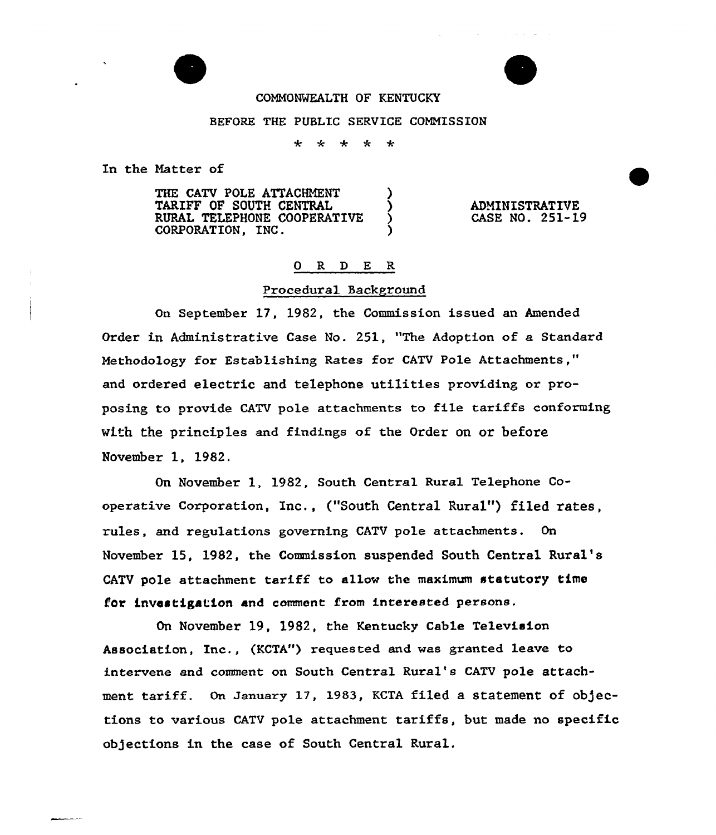

### COMMONWEALTH OF KENTUCKY

### BEFORE THE PUBLIC SERVICE CONNISSION

\* \* \* \* \*

In the Natter of

THE CATV POLE ATTACHMENT TARIFF OF SOUTH CENTRAL RURAL TELEPHONE COOPERATIVE )<br>CORPORATION. INC. CORPORATION, INC.

ADMINISTRATIVE CASE NO. 251-19

## 0 R <sup>D</sup> E R

#### Procedural Background

On September 17, 1982, the Commission issued an Amended Order in Administrative Case No. 251, "The Adoption of a Standard Methodology for Establishing Rates for CATV Pole Attachments," and ordered electric and telephone utilities providing or proposing to provide CATV pole attachments to file tariffs conforming with the principles and findings of the Order on or before November 1, 1982.

On November 1, 1982, South Central Rural Telephone Cooperative Corporation, Inc., ("South Central Rural") filed rates, rules, and regulations governing CATV pole attachments. On November 15, 1982, the Commission suspended South Central Rural's CATV pole attachment tariff to allow the maximum statutory time for investigation and comment from interested persons.

On November 19, 1982, the Kentucky Cable Television Association, Inc., (KCTA") requested and was granted leave to intervene and comment on South Central Rural's CATV pole attachment tariff. On January 17, 1983, KCTA filed a statement of objections to various CATV pole attachment tariffs, but made no specific objections in the case of South Central Rural.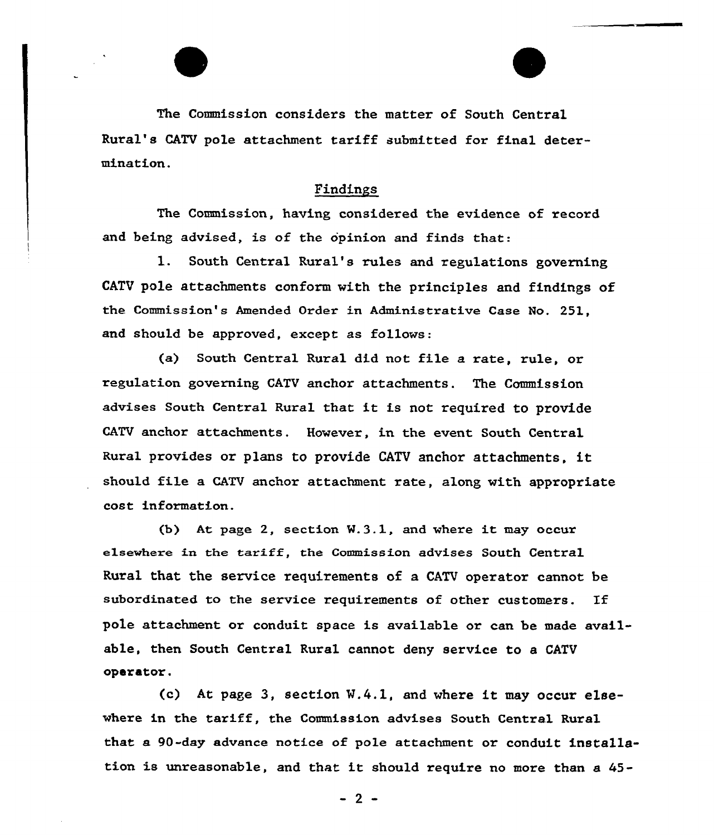The Commission considers the matter of South Central Rural's CATV pole attachment tariff submitted for final determination.

# Findings

The Commission, having considered the evidence of record and being advised, is of the opinion and finds that:

1. South Central Rural's rules and regulations governing CATV pole attachments conform with the princip1es and findings of the Commission's Amended Order in Administrative Case No. 251, and should be approved, except as follows:

(a) South Central Rural did not file a rate, rule, or regulation governing CATV anchor attachments. The Commission advises South Central Rural that it is not required to provide CATV anchor attachments. However, in the event South Central Rural provides or plans to provide CATV anchor attachments, it should file a CATV anchor attachment rate, along with appropriate cost information.

(b) At page 2, section M.3.1, and where it may occur elsewhere in the tariff, the Commission advises South Central Rural that, the service requirements of a CATV operator cannot be subordinated to the service requirements of other customers. If pole attachment or conduit space is available or can be made available, then South Central Rural cannot deny service to a CATV opdrdtor.

 $(c)$  At page 3, section W.4.1, and where it may occur elsewhere in the tariff, the Commission advises South Central Rural that a 90-day advance notice of pole attachment or conduit installstion is unreasonable, and that it should require no more than <sup>a</sup> 45-

 $-2$  –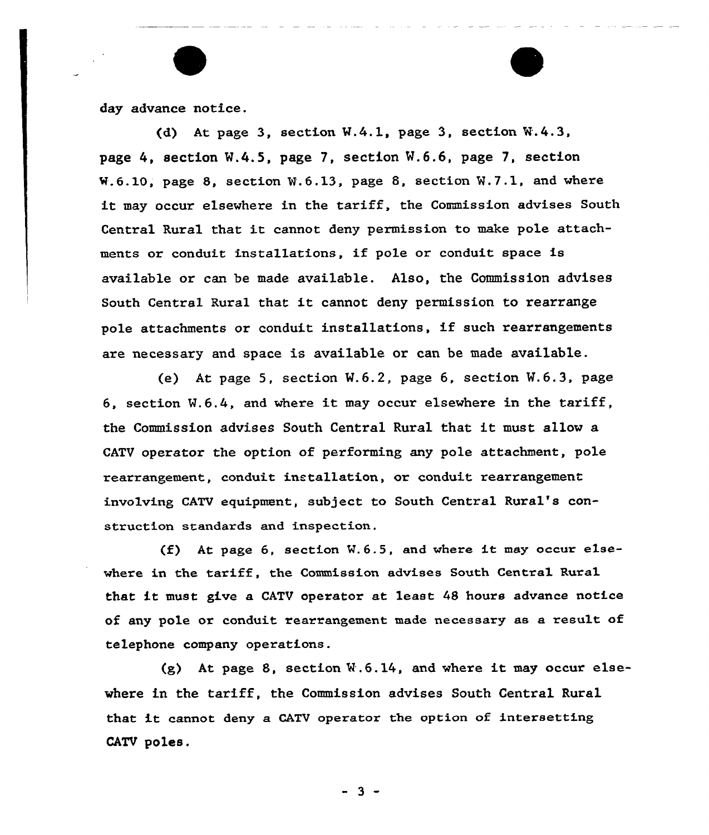day advance notice.

(d) At page 3, section  $W.4.1$ , page 3, section  $W.4.3$ , page 4, section M.4.5, page 7, section M.6.6, page 7, section W.6.LO, page 8, section M.6.13, page 8, section W.7.1, and whexe it may occur elsewhere in the tariff, the Commission advises South Central Rural that it cannot deny permission to make pole attachments or conduit installations, if pole or conduit space is available or can be made available. Also, the Commission advises South Central Rural that it cannot deny permission to rearrange pole attachments or conduit installations, if such rearrangements are necessary and space is available or can be made available.

(e) At page 5, section M.6.2, page 6, section V.6.3, page 6, section  $W.6.4$ , and where it may occur elsewhere in the tariff, the Commission advises South Central Rural that it must allow a CATV operator the option of pexforming any pole attachment, pole rearrangement, conduit installation, or conduit rearrangement involving CATV equipment, subject to South Central Rural's construction standards and inspection.

(f} At page 6, section W.6.5, and where it may occur elsewhere in the tariff, the Commission advises South Central Rural that it must give a CATV operator at least <sup>48</sup> hours advance notice of any pole or conduit rearrangement made necessary as a result of telephone company operations.

(g) At page 8, section  $\mathbb{W}.6.14$ , and where it may occur elsewhere in the tariff, the Commission advises South Central Rural that it cannot deny <sup>a</sup> CATV operator the option of intersetting CATV poles.

 $-3 -$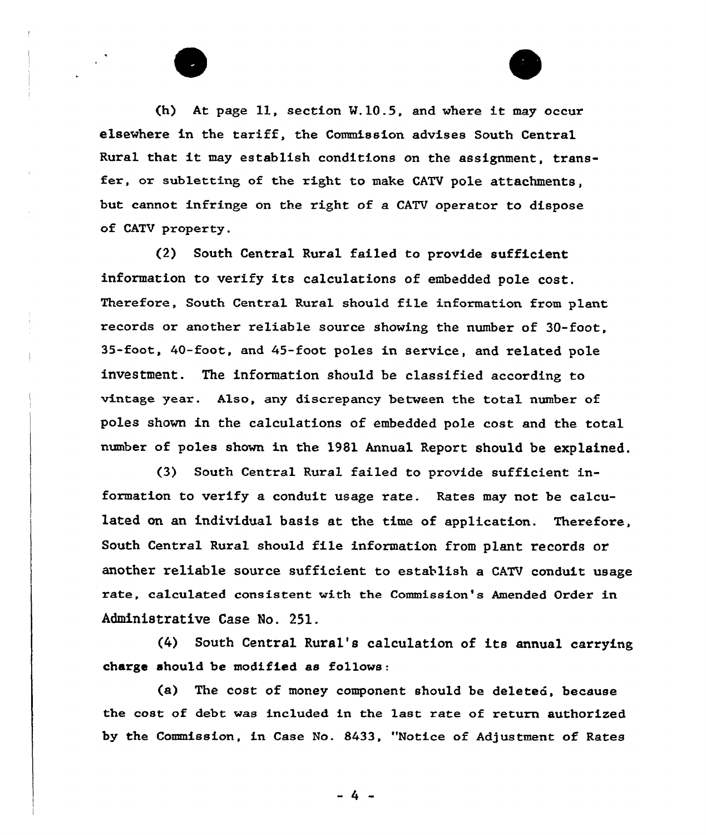(h) At page  $11$ , section  $W, 10.5$ , and where it may occur elsewhere in the tariff, the Commission advises South Central Rural that it may establish conditions on the assignment, transfer, or subletting of the right to make CATV pole attachments, but cannot infringe on the right of a CATV operator to dispose of CATV property.

(2) South Central Rural failed to provide sufficient information to verify its calculations of embedded pole cost. Therefore, South Central Rural should file information from plant records or another reliable souxce showing the number of 30-foot, 35-foot, 40-foot, and 45-foot poles in service, and related pole investment. The information shou1d be classified according to vintage year. Also, any discrepancy between the total number of poles shown in the calculations of embedded pole cost and the total number of poles shown in the 1981 Annual Report should be explained.

(3) South Central Rural failed to provide sufficient information to verify a conduit usage rate. Rates may not be calculated on an individual basis at the time of application. Therefore, South Central Rural should file information from plant records or another reliable source sufficient to establish a CATV conduit usage xate, calculated consistent with the Commission's Amended Order in Administrative Case No. 251.

(4) South Central Rural's calculation of its annual carrying charge should be modified as follows:

(a) The cost of money component should be deleted, because the cost of debt was included in the last rate of return authorized by the Commission, in Case No. 8433, "Notice of Adjustment of Rates

 $-4 -$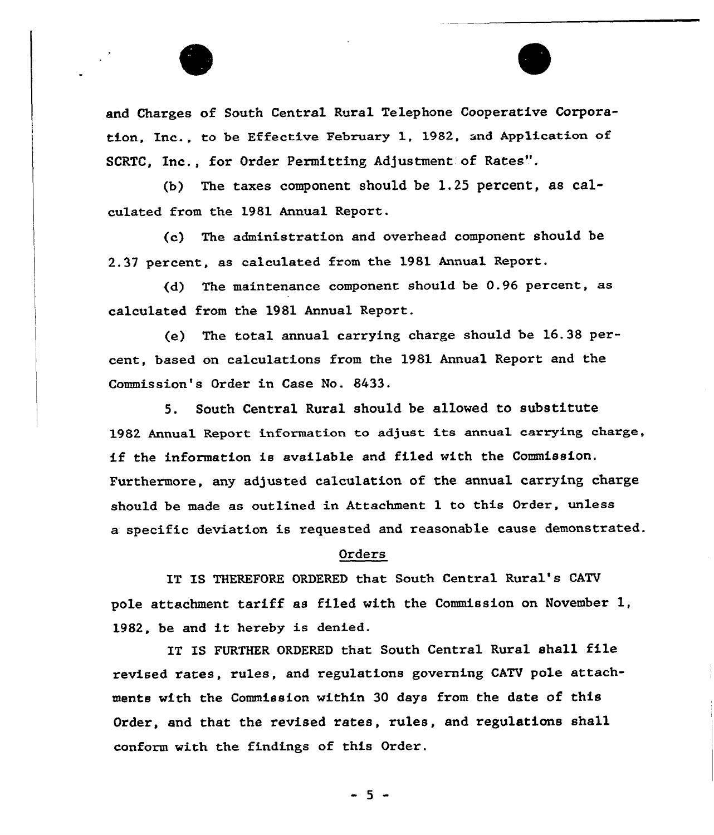

and Charges of South Central Rural Telephone Cooperative Corporation, Inc., to be Effective February 1, 1982, and Application of SCRTC, Inc., for Order Permitting Adjustment of Rates".

(b) The taxes component should be 1.25 percent, as calculated from the 1981 Annual Report.

(e) The administration and overhead component should be 2.37 percent, as calculated from the 1981 Annual Report.

(d) The maintenance component should be 0.96 percent, as calculated from the 1981 Annual Repoxt.

(e} The total annual carrying charge should be 16.38 pexcent, based on calculations from the 1981 Annual Report and the Commission's Order in Case No. 8433.

5. South Central Rural should be allowed to substitute 1982 Annual Report information to adjust its annual carrying charge, if the information is avai1able and filed with the Commission. Furthermore, any adjusted calculation of the annual carrying charge should be made as outlined in Attachment 1 to this Oxder, unless a specific deviation is requested and reasonable cause demonstrated.

### Orders

IT IS THEREFORE ORDERED that South Central Rural's CATV pole attachment tariff as filed with the Commission on November 1, 1982, be and it hereby is denied.

IT IS FURTHER ORDERED that South Central Rural shall file revised rates, rules, and regulations governing CATV pole attachments with the Commission within 30 days from the date of this Order, and that the revised rates, rules, and regulations shall conform with the findings of this Order.

 $-5 -$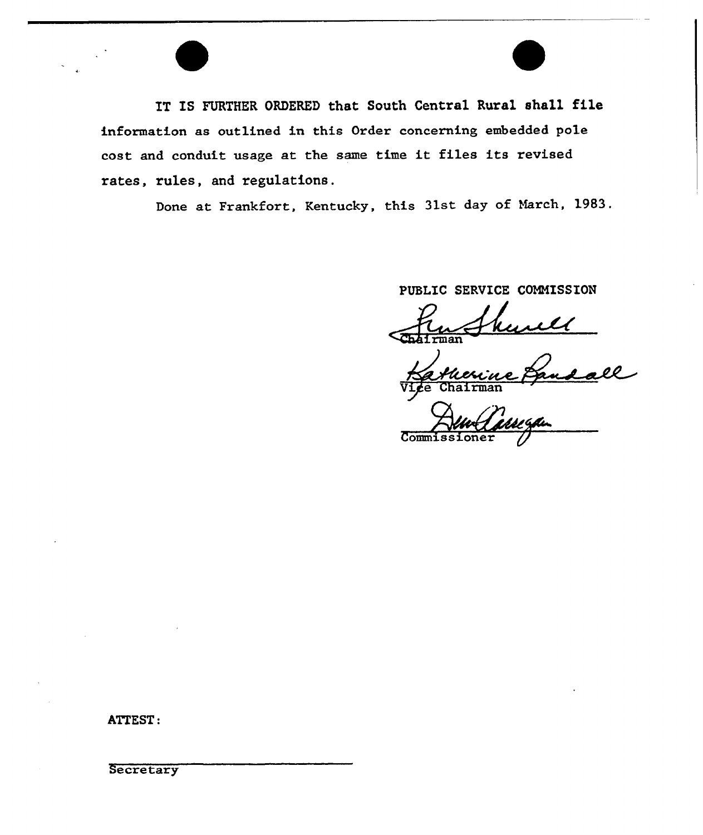IT IS FURTHER ORDERED that South Central Rural shall file information as outlined in this Order concerning embedded pole cost and conduit usage at the same time it files its revised rates, rules, and regulations.

Done at Frankfort, Kentucky, this 31st day of March, 1983.

PUBLIC SERVICE CONNISSION

man

<u>Lall</u> e Chairman

Commissioner

ATTEST:

**Secretary**